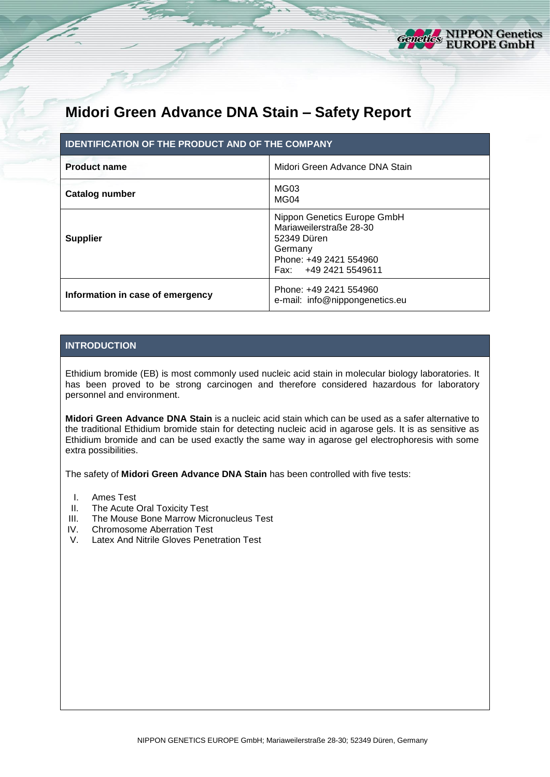

# **Midori Green Advance DNA Stain – Safety Report**

| <b>IDENTIFICATION OF THE PRODUCT AND OF THE COMPANY</b> |                                                                                                                                     |  |  |  |
|---------------------------------------------------------|-------------------------------------------------------------------------------------------------------------------------------------|--|--|--|
| <b>Product name</b>                                     | Midori Green Advance DNA Stain                                                                                                      |  |  |  |
| Catalog number                                          | MG03<br>MG <sub>04</sub>                                                                                                            |  |  |  |
| <b>Supplier</b>                                         | Nippon Genetics Europe GmbH<br>Mariaweilerstraße 28-30<br>52349 Düren<br>Germany<br>Phone: +49 2421 554960<br>Fax: +49 2421 5549611 |  |  |  |
| Information in case of emergency                        | Phone: +49 2421 554960<br>e-mail: info@nippongenetics.eu                                                                            |  |  |  |

# **INTRODUCTION**

Ethidium bromide (EB) is most commonly used nucleic acid stain in molecular biology laboratories. It has been proved to be strong carcinogen and therefore considered hazardous for laboratory personnel and environment.

**Midori Green Advance DNA Stain** is a nucleic acid stain which can be used as a safer alternative to the traditional Ethidium bromide stain for detecting nucleic acid in agarose gels. It is as sensitive as Ethidium bromide and can be used exactly the same way in agarose gel electrophoresis with some extra possibilities.

The safety of **Midori Green Advance DNA Stain** has been controlled with five tests:

- I. Ames Test
- II. The Acute Oral Toxicity Test
- III. The Mouse Bone Marrow Micronucleus Test
- IV. Chromosome Aberration Test<br>V. Latex And Nitrile Gloves Pene
- Latex And Nitrile Gloves Penetration Test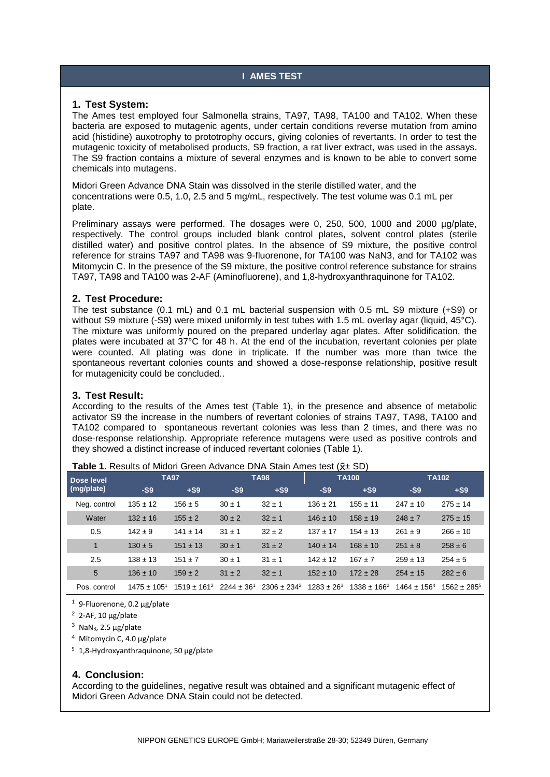# **I AMES TEST**

#### **1. Test System:**

The Ames test employed four Salmonella strains, TA97, TA98, TA100 and TA102. When these bacteria are exposed to mutagenic agents, under certain conditions reverse mutation from amino acid (histidine) auxotrophy to prototrophy occurs, giving colonies of revertants. In order to test the mutagenic toxicity of metabolised products, S9 fraction, a rat liver extract, was used in the assays. The S9 fraction contains a mixture of several enzymes and is known to be able to convert some chemicals into mutagens.

Midori Green Advance DNA Stain was dissolved in the sterile distilled water, and the concentrations were 0.5, 1.0, 2.5 and 5 mg/mL, respectively. The test volume was 0.1 mL per plate.

Preliminary assays were performed. The dosages were 0, 250, 500, 1000 and 2000 µg/plate, respectively. The control groups included blank control plates, solvent control plates (sterile distilled water) and positive control plates. In the absence of S9 mixture, the positive control reference for strains TA97 and TA98 was 9-fluorenone, for TA100 was NaN3, and for TA102 was Mitomycin C. In the presence of the S9 mixture, the positive control reference substance for strains TA97, TA98 and TA100 was 2-AF (Aminofluorene), and 1,8-hydroxyanthraquinone for TA102.

## **2. Test Procedure:**

The test substance (0.1 mL) and 0.1 mL bacterial suspension with 0.5 mL S9 mixture (+S9) or without S9 mixture (-S9) were mixed uniformly in test tubes with 1.5 mL overlay agar (liquid, 45°C). The mixture was uniformly poured on the prepared underlay agar plates. After solidification, the plates were incubated at 37°C for 48 h. At the end of the incubation, revertant colonies per plate were counted. All plating was done in triplicate. If the number was more than twice the spontaneous revertant colonies counts and showed a dose-response relationship, positive result for mutagenicity could be concluded..

#### **3. Test Result:**

According to the results of the Ames test (Table 1), in the presence and absence of metabolic activator S9 the increase in the numbers of revertant colonies of strains TA97, TA98, TA100 and TA102 compared to spontaneous revertant colonies was less than 2 times, and there was no dose-response relationship. Appropriate reference mutagens were used as positive controls and they showed a distinct increase of induced revertant colonies (Table 1).

| Dose level   | <b>TA97</b>      |                                  | <b>TA98</b> |                  | <b>TA100</b>    |                  | <b>TA102</b>     |                  |
|--------------|------------------|----------------------------------|-------------|------------------|-----------------|------------------|------------------|------------------|
| (mg/plate)   | $-S9$            | $+S9$                            | $-S9$       | $+S9$            | $-S9$           | $+S9$            | $-S9$            | $+S9$            |
| Neg. control | $135 \pm 12$     | $156 \pm 5$                      | $30 \pm 1$  | $32 \pm 1$       | $136 \pm 21$    | $155 \pm 11$     | $247 \pm 10$     | $275 \pm 14$     |
| Water        | $132 \pm 16$     | $155 \pm 2$                      | $30 \pm 2$  | $32 \pm 1$       | $146 \pm 10$    | $158 \pm 19$     | $248 \pm 7$      | $275 \pm 15$     |
| 0.5          | $142 \pm 9$      | $141 \pm 14$                     | $31 \pm 1$  | $32 \pm 2$       | $137 + 17$      | $154 \pm 13$     | $261 \pm 9$      | $266 \pm 10$     |
| 1            | $130 \pm 5$      | $151 \pm 13$                     | $30 \pm 1$  | $31 \pm 2$       | $140 \pm 14$    | $168 \pm 10$     | $251 \pm 8$      | $258 \pm 6$      |
| 2.5          | $138 \pm 13$     | $151 \pm 7$                      | $30 \pm 1$  | $31 \pm 1$       | $142 \pm 12$    | $167 + 7$        | $259 \pm 13$     | $254 \pm 5$      |
| 5            | $136 \pm 10$     | $159 \pm 2$                      | $31 \pm 2$  | $32 \pm 1$       | $152 \pm 10$    | $172 \pm 28$     | $254 \pm 15$     | $282 \pm 6$      |
| Pos. control | $1475 \pm 105^1$ | $1519 \pm 161^2$ 2244 $\pm 36^1$ |             | $2306 \pm 234^2$ | $1283 \pm 26^3$ | $1338 \pm 166^2$ | $1464 \pm 156^4$ | $1562 \pm 285^5$ |

**Table 1.** Results of Midori Green Advance DNA Stain Ames test ( $\bar{x}$  + SD)

<sup>1</sup> 9-Fluorenone, 0.2 µg/plate

 $2$  2-AF, 10  $\mu$ g/plate

 $3$  NaN<sub>3</sub>, 2.5  $\mu$ g/plate

<sup>4</sup> Mitomycin C, 4.0 µg/plate

<sup>5</sup> 1,8-Hydroxyanthraquinone, 50 µg/plate

## **4. Conclusion:**

According to the guidelines, negative result was obtained and a significant mutagenic effect of Midori Green Advance DNA Stain could not be detected.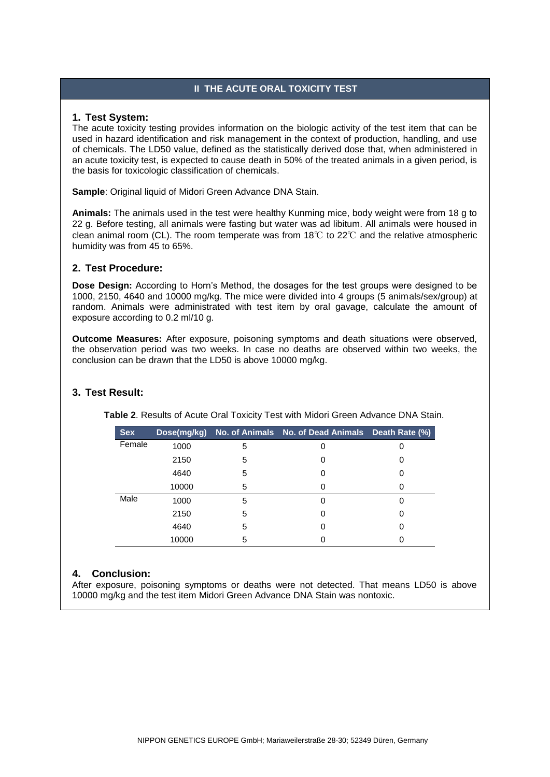# **II THE ACUTE ORAL TOXICITY TEST**

#### **1. Test System:**

The acute toxicity testing provides information on the biologic activity of the test item that can be used in hazard identification and risk management in the context of production, handling, and use of chemicals. The LD50 value, defined as the statistically derived dose that, when administered in an acute toxicity test, is expected to cause death in 50% of the treated animals in a given period, is the basis for toxicologic classification of chemicals.

**Sample**: Original liquid of Midori Green Advance DNA Stain.

**Animals:** The animals used in the test were healthy Kunming mice, body weight were from 18 g to 22 g. Before testing, all animals were fasting but water was ad libitum. All animals were housed in clean animal room (CL). The room temperate was from 18℃ to 22℃ and the relative atmospheric humidity was from 45 to 65%.

## **2. Test Procedure:**

**Dose Design:** According to Horn's Method, the dosages for the test groups were designed to be 1000, 2150, 4640 and 10000 mg/kg. The mice were divided into 4 groups (5 animals/sex/group) at random. Animals were administrated with test item by oral gavage, calculate the amount of exposure according to 0.2 ml/10 g.

**Outcome Measures:** After exposure, poisoning symptoms and death situations were observed, the observation period was two weeks. In case no deaths are observed within two weeks, the conclusion can be drawn that the LD50 is above 10000 mg/kg.

# **3. Test Result:**

**Table 2**. Results of Acute Oral Toxicity Test with Midori Green Advance DNA Stain.

| <b>Sex</b> |       |   | Dose(mg/kg) No. of Animals No. of Dead Animals Death Rate (%) |   |
|------------|-------|---|---------------------------------------------------------------|---|
| Female     | 1000  | 5 | 0                                                             |   |
|            | 2150  | 5 | 0                                                             | 0 |
|            | 4640  | 5 | 0                                                             |   |
|            | 10000 | 5 | 0                                                             |   |
| Male       | 1000  | 5 |                                                               |   |
|            | 2150  | 5 |                                                               |   |
|            | 4640  | 5 |                                                               |   |
|            | 10000 | 5 |                                                               |   |

## **4. Conclusion:**

After exposure, poisoning symptoms or deaths were not detected. That means LD50 is above 10000 mg/kg and the test item Midori Green Advance DNA Stain was nontoxic.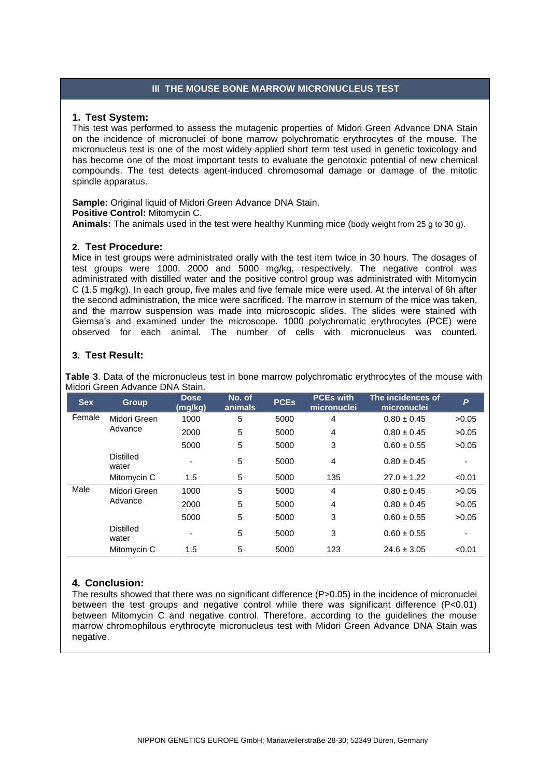## **III THE MOUSE BONE MARROW MICRONUCLEUS TEST**

#### **1. Test System:**

This test was performed to assess the mutagenic properties of Midori Green Advance DNA Stain on the incidence of micronuclei of bone marrow polychromatic erythrocytes of the mouse. The micronucleus test is one of the most widely applied short term test used in genetic toxicology and has become one of the most important tests to evaluate the genotoxic potential of new chemical compounds. The test detects agent-induced chromosomal damage or damage of the mitotic spindle apparatus.

**Sample:** Original liquid of Midori Green Advance DNA Stain. **Positive Control:** Mitomycin C. **Animals:** The animals used in the test were healthy Kunming mice (body weight from 25 g to 30 g).

#### **2. Test Procedure:**

Mice in test groups were administrated orally with the test item twice in 30 hours. The dosages of test groups were 1000, 2000 and 5000 mg/kg, respectively. The negative control was administrated with distilled water and the positive control group was administrated with Mitomycin C (1.5 mg/kg). In each group, five males and five female mice were used. At the interval of 6h after the second administration, the mice were sacrificed. The marrow in sternum of the mice was taken, and the marrow suspension was made into microscopic slides. The slides were stained with Giemsa's and examined under the microscope. 1000 polychromatic erythrocytes (PCE) were observed for each animal. The number of cells with micronucleus was counted.

# **3. Test Result:**

**Table 3**. Data of the micronucleus test in bone marrow polychromatic erythrocytes of the mouse with Midori Green Advance DNA Stain.

| <b>Sex</b> | <b>Group</b>              | <b>Dose</b><br>(mg/kg)   | No. of<br>animals | <b>PCEs</b> | <b>PCEs with</b><br>micronuclei | The incidences of<br>micronuclei | P      |
|------------|---------------------------|--------------------------|-------------------|-------------|---------------------------------|----------------------------------|--------|
| Female     | Midori Green              | 1000                     | 5                 | 5000        | 4                               | $0.80 \pm 0.45$                  | >0.05  |
|            | Advance                   | 2000                     | 5                 | 5000        | $\overline{4}$                  | $0.80 \pm 0.45$                  | >0.05  |
|            |                           | 5000                     | 5                 | 5000        | 3                               | $0.60 \pm 0.55$                  | >0.05  |
|            | <b>Distilled</b><br>water | $\overline{\phantom{a}}$ | 5                 | 5000        | 4                               | $0.80 \pm 0.45$                  |        |
|            | Mitomycin C               | 1.5                      | 5                 | 5000        | 135                             | $27.0 \pm 1.22$                  | < 0.01 |
| Male       | Midori Green              | 1000                     | 5                 | 5000        | 4                               | $0.80 \pm 0.45$                  | >0.05  |
|            | Advance                   | 2000                     | 5                 | 5000        | 4                               | $0.80 \pm 0.45$                  | >0.05  |
|            |                           | 5000                     | 5                 | 5000        | 3                               | $0.60 \pm 0.55$                  | >0.05  |
|            | <b>Distilled</b><br>water | -                        | 5                 | 5000        | 3                               | $0.60 \pm 0.55$                  |        |
|            | Mitomycin C               | 1.5                      | 5                 | 5000        | 123                             | $24.6 \pm 3.05$                  | < 0.01 |

# **4. Conclusion:**

The results showed that there was no significant difference (P>0.05) in the incidence of micronuclei between the test groups and negative control while there was significant difference (P<0.01) between Mitomycin C and negative control. Therefore, according to the guidelines the mouse marrow chromophilous erythrocyte micronucleus test with Midori Green Advance DNA Stain was negative.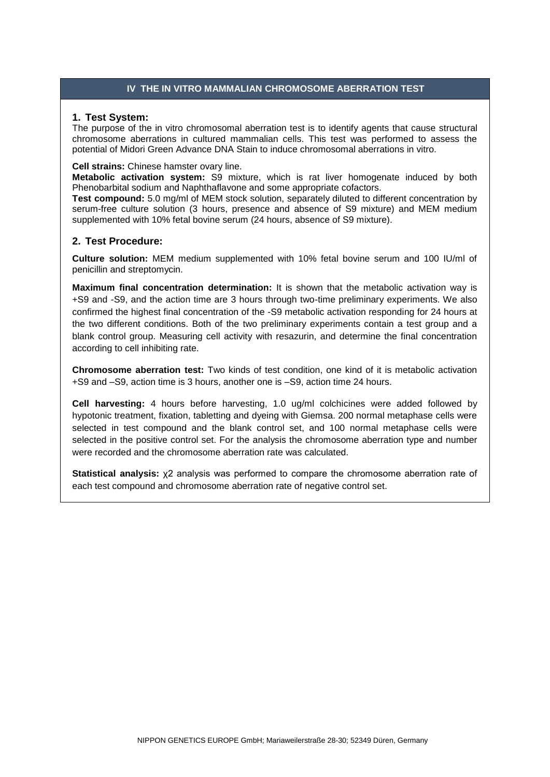# **IV THE IN VITRO MAMMALIAN CHROMOSOME ABERRATION TEST**

#### **1. Test System:**

The purpose of the in vitro chromosomal aberration test is to identify agents that cause structural chromosome aberrations in cultured mammalian cells. This test was performed to assess the potential of Midori Green Advance DNA Stain to induce chromosomal aberrations in vitro.

#### **Cell strains:** Chinese hamster ovary line.

**Metabolic activation system:** S9 mixture, which is rat liver homogenate induced by both Phenobarbital sodium and Naphthaflavone and some appropriate cofactors.

**Test compound:** 5.0 mg/ml of MEM stock solution, separately diluted to different concentration by serum-free culture solution (3 hours, presence and absence of S9 mixture) and MEM medium supplemented with 10% fetal bovine serum (24 hours, absence of S9 mixture).

# **2. Test Procedure:**

**Culture solution:** MEM medium supplemented with 10% fetal bovine serum and 100 IU/ml of penicillin and streptomycin.

**Maximum final concentration determination:** It is shown that the metabolic activation way is +S9 and -S9, and the action time are 3 hours through two-time preliminary experiments. We also confirmed the highest final concentration of the -S9 metabolic activation responding for 24 hours at the two different conditions. Both of the two preliminary experiments contain a test group and a blank control group. Measuring cell activity with resazurin, and determine the final concentration according to cell inhibiting rate.

**Chromosome aberration test:** Two kinds of test condition, one kind of it is metabolic activation +S9 and –S9, action time is 3 hours, another one is –S9, action time 24 hours.

**Cell harvesting:** 4 hours before harvesting, 1.0 ug/ml colchicines were added followed by hypotonic treatment, fixation, tabletting and dyeing with Giemsa. 200 normal metaphase cells were selected in test compound and the blank control set, and 100 normal metaphase cells were selected in the positive control set. For the analysis the chromosome aberration type and number were recorded and the chromosome aberration rate was calculated.

**Statistical analysis:**  $x^2$  analysis was performed to compare the chromosome aberration rate of each test compound and chromosome aberration rate of negative control set.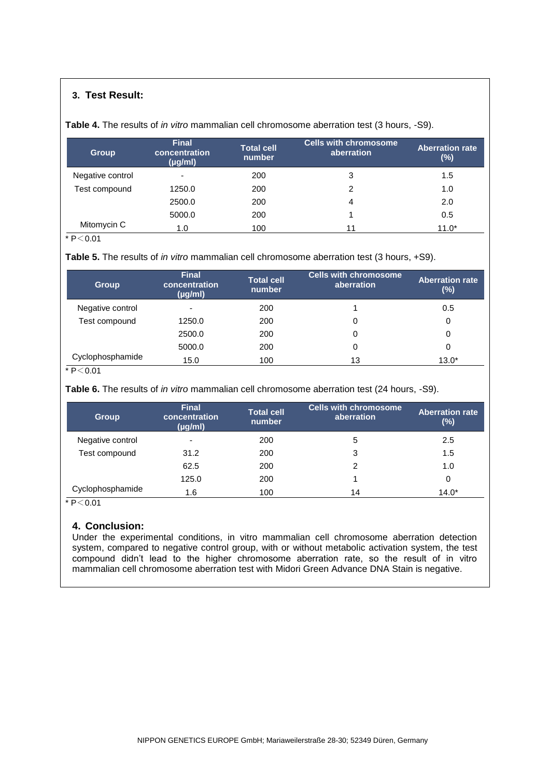# **3. Test Result:**

**Table 4.** The results of *in vitro* mammalian cell chromosome aberration test (3 hours, -S9).

| <b>Group</b>     | <b>Final</b><br>concentration<br>$(\mu g/ml)$ | <b>Total cell</b><br>number | <b>Cells with chromosome</b><br>aberration | <b>Aberration rate</b><br>(%) |
|------------------|-----------------------------------------------|-----------------------------|--------------------------------------------|-------------------------------|
| Negative control | $\overline{\phantom{a}}$                      | 200                         | 3                                          | 1.5                           |
| Test compound    | 1250.0                                        | 200                         | 2                                          | 1.0                           |
|                  | 2500.0                                        | 200                         | 4                                          | 2.0                           |
|                  | 5000.0                                        | 200                         |                                            | 0.5                           |
| Mitomycin C      | 1.0                                           | 100                         |                                            | $11.0*$                       |

 $*$  P $<$  0.01

**Table 5.** The results of *in vitro* mammalian cell chromosome aberration test (3 hours, +S9).

| <b>Group</b>     | <b>Final</b><br>concentration<br>$(\mu g/ml)$ | <b>Total cell</b><br>number | <b>Cells with chromosome</b><br>aberration | <b>Aberration rate</b><br>(%) |
|------------------|-----------------------------------------------|-----------------------------|--------------------------------------------|-------------------------------|
| Negative control | $\overline{\phantom{a}}$                      | 200                         |                                            | 0.5                           |
| Test compound    | 1250.0                                        | 200                         | 0                                          | 0                             |
|                  | 2500.0                                        | 200                         | 0                                          | 0                             |
|                  | 5000.0                                        | 200                         | 0                                          | 0                             |
| Cyclophosphamide | 15.0                                          | 100                         | 13                                         | $13.0*$                       |

 $* P < 0.01$ 

**Table 6.** The results of *in vitro* mammalian cell chromosome aberration test (24 hours, -S9).

| <b>Group</b>     | <b>Final</b><br>concentration<br>$(\mu g/ml)$ | <b>Total cell</b><br>number | <b>Cells with chromosome</b><br>aberration | <b>Aberration rate</b><br>(%) |
|------------------|-----------------------------------------------|-----------------------------|--------------------------------------------|-------------------------------|
| Negative control | $\overline{\phantom{a}}$                      | 200                         | 5                                          | 2.5                           |
| Test compound    | 31.2                                          | 200                         | 3                                          | 1.5                           |
|                  | 62.5                                          | 200                         |                                            | 1.0                           |
|                  | 125.0                                         | 200                         |                                            | 0                             |
| Cyclophosphamide | 1.6                                           | 100                         | 14                                         | $14.0*$                       |

 $* P < 0.01$ 

## **4. Conclusion:**

Under the experimental conditions, in vitro mammalian cell chromosome aberration detection system, compared to negative control group, with or without metabolic activation system, the test compound didn't lead to the higher chromosome aberration rate, so the result of in vitro mammalian cell chromosome aberration test with Midori Green Advance DNA Stain is negative.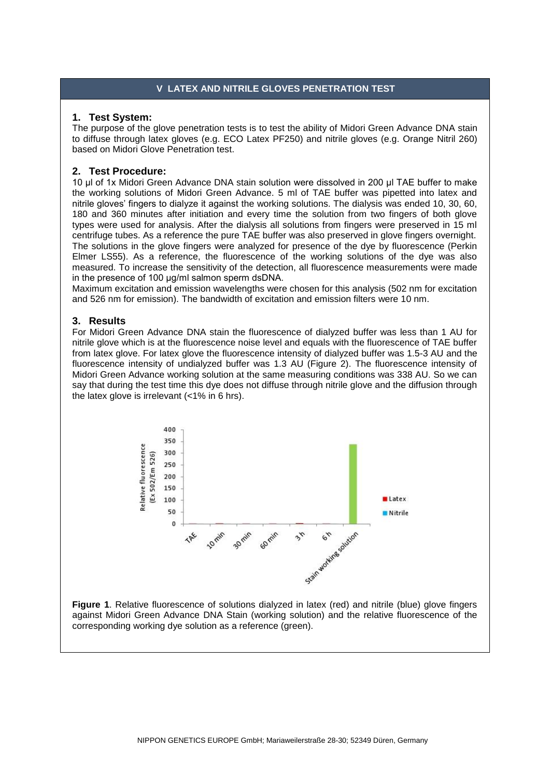# **V LATEX AND NITRILE GLOVES PENETRATION TEST**

# **1. Test System:**

The purpose of the glove penetration tests is to test the ability of Midori Green Advance DNA stain to diffuse through latex gloves (e.g. ECO Latex PF250) and nitrile gloves (e.g. Orange Nitril 260) based on Midori Glove Penetration test.

# **2. Test Procedure:**

10 μl of 1x Midori Green Advance DNA stain solution were dissolved in 200 μl TAE buffer to make the working solutions of Midori Green Advance. 5 ml of TAE buffer was pipetted into latex and nitrile gloves' fingers to dialyze it against the working solutions. The dialysis was ended 10, 30, 60, 180 and 360 minutes after initiation and every time the solution from two fingers of both glove types were used for analysis. After the dialysis all solutions from fingers were preserved in 15 ml centrifuge tubes. As a reference the pure TAE buffer was also preserved in glove fingers overnight. The solutions in the glove fingers were analyzed for presence of the dye by fluorescence (Perkin Elmer LS55). As a reference, the fluorescence of the working solutions of the dye was also measured. To increase the sensitivity of the detection, all fluorescence measurements were made in the presence of 100 μg/ml salmon sperm dsDNA.

Maximum excitation and emission wavelengths were chosen for this analysis (502 nm for excitation and 526 nm for emission). The bandwidth of excitation and emission filters were 10 nm.

# **3. Results**

For Midori Green Advance DNA stain the fluorescence of dialyzed buffer was less than 1 AU for nitrile glove which is at the fluorescence noise level and equals with the fluorescence of TAE buffer from latex glove. For latex glove the fluorescence intensity of dialyzed buffer was 1.5-3 AU and the fluorescence intensity of undialyzed buffer was 1.3 AU (Figure 2). The fluorescence intensity of Midori Green Advance working solution at the same measuring conditions was 338 AU. So we can say that during the test time this dye does not diffuse through nitrile glove and the diffusion through the latex glove is irrelevant (<1% in 6 hrs).



**Figure 1**. Relative fluorescence of solutions dialyzed in latex (red) and nitrile (blue) glove fingers against Midori Green Advance DNA Stain (working solution) and the relative fluorescence of the corresponding working dye solution as a reference (green).